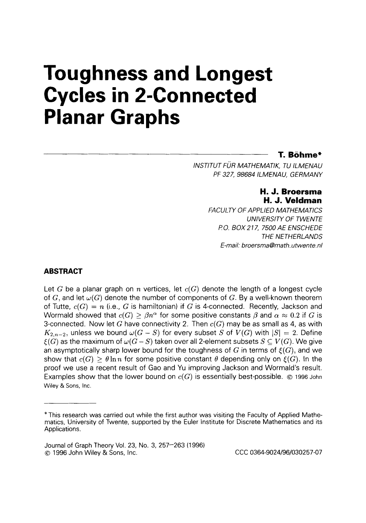# **Toughness and Longest Cycles in 2-Connected Planar Graphs**

## **T. Bohme\***

*INSTITUT FUR MATHEMATIK, TU ILMENAU PF 327,98684 ILMENAU, GERMANY* 

## **H. J. Broersma H. J. Veldman**

*FACULTY OF APPLIED MATHEMATICS UNIVERSITY OF TWENTE PO. BOX277, 7500AE ENSCHEDE THE NETHERLANDS E-mail: broersma@math.utwente.nl* 

## **ABSTRACT**

Let G be a planar graph on  $n$  vertices, let  $c(G)$  denote the length of a longest cycle of G, and let  $\omega(G)$  denote the number of components of G. By a well-known theorem of Tutte,  $c(G) = n$  (i.e., G is hamiltonian) if G is 4-connected. Recently, Jackson and Wormald showed that  $c(G) \geq \beta n^{\alpha}$  for some positive constants  $\beta$  and  $\alpha \approx 0.2$  if G is 3-connected. Now let G have connectivity 2. Then  $c(G)$  may be as small as 4, as with  $K_{2,n-2}$ , unless we bound  $\omega(G-S)$  for every subset S of  $V(G)$  with  $|S|=2$ . Define  $\xi(G)$  as the maximum of  $\omega(G-S)$  taken over all 2-element subsets  $S \subseteq V(G)$ . We give an asymptotically sharp lower bound for the toughness of G in terms of  $\mathcal{E}(G)$ , and we show that  $c(G) > \theta \ln n$  for some positive constant  $\theta$  depending only on  $\xi(G)$ . In the proof we use a recent result of Gao and Yu improving Jackson and Wormald's result. Examples show that the lower bound on  $c(G)$  is essentially best-possible.  $\otimes$  1996 John Wiley & Sons, Inc.

<sup>\*</sup>This research was carried out while the first author was visiting the Faculty of Applied Mathematics, University of Twente, supported by the Euler Institute for Discrete Mathematics and its Applications.

Journal of Graph Theory Vol. 23, No. 3, 257-263 (1996) *o* 1996 John Wiley & Sons, Inc. CCC 0364-9024/96/030257-07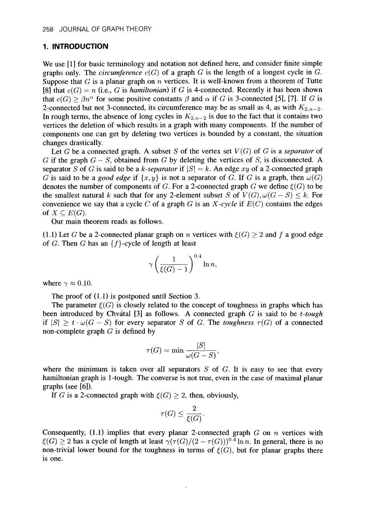## **1. INTRODUCTION**

We use [1] for basic terminology and notation not defined here, and consider finite simple graphs only. The *circumference*  $c(G)$  of a graph  $G$  is the length of a longest cycle in  $G$ . Suppose that *G* is a planar graph on *n* vertices. It is well-known from a theorem of Tutte [8] that  $c(G) = n$  (i.e., *G* is *hamiltonian*) if *G* is 4-connected. Recently it has been shown that  $c(G) \geq \beta n^{\alpha}$  for some positive constants  $\beta$  and  $\alpha$  if *G* is 3-connected [5], [7]. If *G* is 2-connected but not 3-connected, its circumference may be as small as 4, as with  $K_{2,n-2}$ . In rough terms, the absence of long cycles in  $K_{2,n-2}$  is due to the fact that it contains two vertices the deletion of which results in a graph with many components. If the number of components one can get by deleting two vertices is bounded by a constant, the situation changes drastically.

Let *G* be a connected graph. A subset *S* of the vertex set  $V(G)$  of *G* is a *separator* of  $G$  if the graph  $G - S$ , obtained from  $G$  by deleting the vertices of  $S$ , is disconnected. A separator *S* of *G* is said to be a *k-separator* if  $|S| = k$ . An edge xy of a 2-connected graph *G* is said to be a *good edge* if  $\{x, y\}$  is not a separator of *G*. If *G* is a graph, then  $\omega(G)$ denotes the number of components of *G*. For a 2-connected graph *G* we define  $\xi(G)$  to be the smallest natural *k* such that for any 2-element subset *S* of  $V(G), \omega(G - S) \leq k$ . For convenience we say that a cycle C of a graph G is an *X-cycle* if  $E(C)$  contains the edges of  $X \subseteq E(G)$ .

Our main theorem reads as follows.

(1.1) Let *G* be a 2-connected planar graph on *n* vertices with  $\xi(G) \geq 2$  and f a good edge of *G*. Then *G* has an  ${f}$ -cycle of length at least

$$
\gamma\left(\frac{1}{\xi(G)-1}\right)^{0.4}\ln n,
$$

where  $\gamma \approx 0.10$ .

The proof of (1.1) is postponed until Section 3.

The parameter  $\xi(G)$  is closely related to the concept of toughness in graphs which has been introduced by Chvatal [3] as follows. **A** connected graph G is said to be *t-tough*  if  $|S| \geq t \cdot \omega(G - S)$  for every separator *S* of *G*. The *toughness*  $\tau(G)$  of a connected non-complete graph *G* is defined by

$$
\tau(G) = \min \frac{|S|}{\omega(G-S)},
$$

where the minimum is taken over all separators *S* of *G.* It is easy to see that every hamiltonian graph is 1-tough. The converse is not true, even in the case of maximal planar graphs (see *[6]).* 

If G is a 2-connected graph with  $\xi(G) \geq 2$ , then, obviously,

$$
\tau(G) \le \frac{2}{\xi(G)}.
$$

Consequently, (1.1) implies that every planar 2-connected graph *G* on *n* vertices with  $\xi(G) \geq 2$  has a cycle of length at least  $\gamma(\tau(G)/(2 - \tau(G)))^{0.4} \ln n$ . In general, there is no non-trivial lower bound for the toughness in terms of  $\xi(G)$ , but for planar graphs there is one.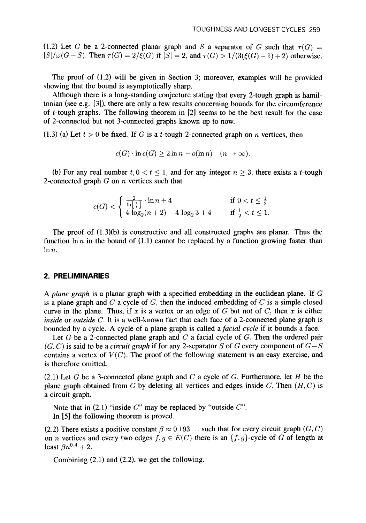(1.2) Let G be a 2-connected planar graph and S a separator of G such that  $\tau(G)$  =  $|S|/\omega(G-S)$ . Then  $\tau(G) = 2/\xi(G)$  if  $|S| = 2$ , and  $\tau(G) > 1/(3(\xi(G)-1)+2)$  otherwise.

The proof of (1.2) will be given in Section **3;** moreover, examples will be provided showing that the bound is asymptotically sharp.

Although there is a long-standing conjecture stating that every 2-tough graph **is** hamiltonian (see e.g. **[3]),** there are only a few results concerning bounds for the circumference of  $t$ -tough graphs. The following theorem in  $[2]$  seems to be the best result for the case of 2-connected but not 3-connected graphs known up to now.

(1.3) (a) Let  $t > 0$  be fixed. If G is a t-tough 2-connected graph on *n* vertices, then

$$
c(G) \cdot \ln c(G) \geq 2 \ln n - o(\ln n) \quad (n \to \infty).
$$

(b) For any real number  $t, 0 < t \le 1$ , and for any integer  $n \ge 3$ , there exists a t-tough 2-connected graph G on *n* vertices such that

$$
c(G) < \begin{cases} \frac{2}{\ln\left[\frac{1}{t}\right]} \cdot \ln n + 4 & \text{if } 0 < t \le \frac{1}{2} \\ 4\log_2(n+2) - 4\log_2 3 + 4 & \text{if } \frac{1}{2} < t \le 1. \end{cases}
$$

The proof of (1.3)(b) is constructive and all constructed graphs are planar. Thus the function  $\ln n$  in the bound of (1.1) cannot be replaced by a function growing faster than  $\ln n$ .

## **2. PRELIMINARIES**

A *plane graph* is a planar graph with a specified embedding in the euclidean plane. If G is a plane graph and *C* a cycle of G, then the induced embedding of *C* is a simple closed curve in the plane. Thus, if x is a vertex or an edge of  $G$  but not of  $C$ , then  $x$  is either *inside* or *outside C.* It is a well-known fact that each face of a 2-connected plane graph is bounded by a cycle. **A** cycle of a plane graph is called a *facial cycle* if **it** bounds a face.

Let G be a 2-connected plane graph and *C* a facial cycle of G. Then the ordered pair  $(G, C)$  is said to be a *circuit graph* if for any 2-separator *S* of G every component of  $G - S$ contains a vertex of  $V(C)$ . The proof of the following statement is an easy exercise, and is therefore omitted.

(2.1) Let G be a 3-connected plane graph and *C* a cycle of G. Furthermore, let *H* be the plane graph obtained from G by deleting all vertices and edges inside C. Then  $(H, C)$  is a circuit graph.

Note that in (2.1) "inside C" may be replaced by "outside C".

In **[5]** the following theorem is proved.

(2.2) There exists a positive constant  $\beta \approx 0.193...$  such that for every circuit graph (G, C) on *n* vertices and every two edges  $f, g \in E(C)$  there is an {f, g}-cycle of G of length at least  $\beta n^{0.4} + 2$ .

Combining (2.1) and (2.2), we get the following.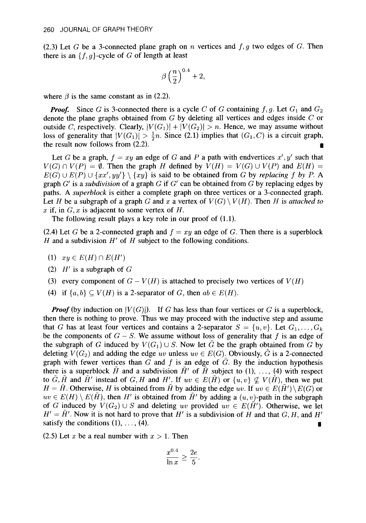(2.3) Let  $G$  be a 3-connected plane graph on  $n$  vertices and  $f, g$  two edges of  $G$ . Then there is an  ${f, g}$ -cycle of *G* of length at least

$$
\beta\left(\frac{n}{2}\right)^{0.4}+2,
$$

where  $\beta$  is the same constant as in (2.2).

**Proof.** Since *G* is 3-connected there is a cycle *C* of *G* containing  $f, g$ . Let  $G_1$  and  $G_2$ denote the plane graphs obtained from *G* by deleting all vertices and edges inside *C* or outside C, respectively. Clearly,  $|V(G_1)| + |V(G_2)| > n$ . Hence, we may assume without loss of generality that  $|V(G_1)| > \frac{1}{2}n$ . Since (2.1) implies that  $(G_1, C)$  is a circuit graph, the result now follows from (2.2). the result now follows from (2.2).

Let *G* be a graph,  $f = xy$  an edge of *G* and *P* a path with endvertices  $x', y'$  such that  $V(G) \cap V(P) = \emptyset$ . Then the graph *H* defined by  $V(H) = V(G) \cup V(P)$  and  $E(H) =$  $E(G) \cup E(P) \cup \{xx', yy'\} \setminus \{xy\}$  is said to be obtained from *G* by *replacing f by P.* A graph *G'* is a *subdivision* of a graph *G* if *G'* can be obtained from *G* by replacing edges by paths. *A superblock* is either a complete graph on three vertices or a 3-connected graph. Let *H* be a subgraph of a graph *G* and x a vertex of  $V(G) \setminus V(H)$ . Then *H* is *attached to*  $x$  if, in  $G, x$  is adjacent to some vertex of  $H$ .

The following result plays a key role in our proof of (1.1).

(2.4) Let G be a 2-connected graph and  $f = xy$  an edge of G. Then there is a superblock *H* and a subdivision *H'* of *H* subject to the following conditions.

- (1)  $xy \in E(H) \cap E(H')$
- (2) *H'* is a subgraph of *G*
- (3) every component of  $G V(H)$  is attached to precisely two vertices of  $V(H)$
- (4) if  $\{a,b\} \subseteq V(H)$  is a 2-separator of *G*, then  $ab \in E(H)$ .

*Proof* (by induction on  $|V(G)|$ ). If *G* has less than four vertices or *G* is a superblock, then there is nothing to prove. Thus we may proceed with the inductive step and assume that G has at least four vertices and contains a 2-separator  $S = \{u, v\}$ . Let  $G_1, \ldots, G_k$ be the components of  $G - S$ . We assume without loss of generality that  $f$  is an edge of the subgraph of G induced by  $V(G_1) \cup S$ . Now let  $\tilde{G}$  be the graph obtained from G by deleting  $V(G_2)$  and adding the edge *uv* unless  $uv \in E(G)$ . Obviously,  $\tilde{G}$  is a 2-connected graph with fewer vertices than  $G$  and  $f$  is an edge of  $\tilde{G}$ . By the induction hypothesis there is a superblock  $\tilde{H}$  and a subdivision  $\tilde{H}'$  of  $\tilde{H}$  subject to (1), ..., (4) with respect to  $\tilde{G}, \tilde{H}$  and  $\tilde{H}'$  instead of  $G, H$  and  $H'$ . If  $uv \in E(\tilde{H})$  or  $\{u, v\} \nsubseteq V(\tilde{H})$ , then we put  $H = \tilde{H}$ . Otherwise, *H* is obtained from  $\tilde{H}$  by adding the edge *uv.* If  $uv \in E(\tilde{H}') \setminus E(G)$  or  $uv \in E(H) \setminus E(H)$ , then *H'* is obtained from  $\tilde{H}'$  by adding a  $(u, v)$ -path in the subgraph of *G* induced by  $V(G_2) \cup S$  and deleting *uv* provided  $uv \in E(\tilde{H}')$ . Otherwise, we let  $H' = \tilde{H}'$ . Now it is not hard to prove that *H'* is a subdivision of *H* and that *G, H,* and *H'* satisfy the conditions (1), ..., (4). satisfy the conditions  $(1), \ldots, (4)$ .

(2.5) Let x be a real number with  $x > 1$ . Then

$$
\frac{x^{0.4}}{\ln x} \ge \frac{2e}{5}.
$$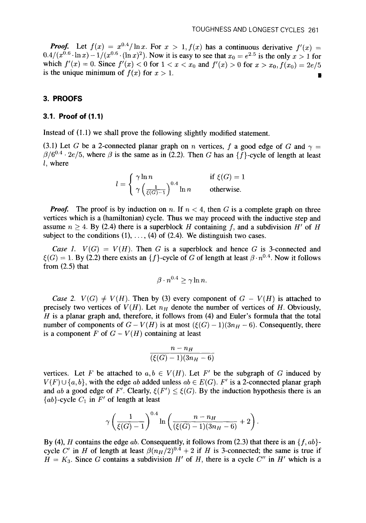*Proof.* Let  $f(x) = x^{0.4}/\ln x$ . For  $x > 1$ ,  $f(x)$  has a continuous derivative  $f'(x) =$  $0.4/(x^{0.6} \cdot \ln x) - 1/(x^{0.6} \cdot (\ln x)^2)$ . Now it is easy to see that  $x_0 = e^{2.5}$  is the only  $x > 1$  for which  $f'(x) = 0$ . Since  $f'(x) < 0$  for  $1 < x < x_0$  and  $f'(x) > 0$  for  $x > x_0$ ,  $f(x_0) = 2e/5$ is the unique minimum of  $f(x)$  for  $x > 1$ .

## **3. PROOFS**

#### **3.1. Proof of (1.1)**

Instead of (1.1) we shall prove the following slightly modified statement.

(3.1) Let *G* be a 2-connected planar graph on *n* vertices, *f* a good edge of *G* and  $\gamma$  =  $\beta/6^{0.4} \cdot 2e/5$ , where  $\beta$  is the same as in (2.2). Then G has an {f}-cycle of length at least *<sup>1</sup>*, where

$$
l = \begin{cases} \gamma \ln n & \text{if } \xi(G) = 1 \\ \gamma \left( \frac{1}{\xi(G) - 1} \right)^{0.4} \ln n & \text{otherwise.} \end{cases}
$$

*Proof.* The proof is by induction on n. If  $n < 4$ , then G is a complete graph on three vertices which is a (hamiltonian) cycle. Thus we may proceed with the inductive step and assume  $n \geq 4$ . By (2.4) there is a superblock *H* containing *f*, and a subdivision *H'* of *H* subject to the conditions  $(1), \ldots, (4)$  of  $(2.4)$ . We distinguish two cases.

*Case 1.*  $V(G) = V(H)$ . Then *G* is a superblock and hence *G* is 3-connected and  $\xi(G) = 1$ . By (2.2) there exists an {f}-cycle of G of length at least  $\beta \cdot n^{0.4}$ . Now it follows from (2.5) that

$$
\beta\cdot n^{0.4} \geq \gamma \ln n.
$$

*Case 2.*  $V(G) \neq V(H)$ . Then by (3) every component of  $G - V(H)$  is attached to precisely two vertices of  $V(H)$ . Let  $n_H$  denote the number of vertices of *H*. Obviously, *H* is a planar graph and, therefore, it follows from (4) and Euler's formula that the total number of components of  $G - V(H)$  is at most  $(\xi(G) - 1)(3n<sub>H</sub> - 6)$ . Consequently, there is a component *F* of  $G - V(H)$  containing at least

$$
\frac{n-n_H}{(\xi(G)-1)(3n_H-6)}
$$

vertices. Let *F* be attached to  $a, b \in V(H)$ . Let *F'* be the subgraph of *G* induced by  $V(F) \cup \{a, b\}$ , with the edge *ab* added unless  $ab \in E(G)$ . F' is a 2-connected planar graph and *ab* a good edge of *F'*. Clearly,  $\xi(F') \leq \xi(G)$ . By the induction hypothesis there is an  ${ab}$ -cycle  $C_1$  in  $F'$  of length at least

$$
\gamma\left(\frac{1}{\xi(G)-1}\right)^{0.4}\ln\left(\frac{n-n_H}{(\xi(G)-1)(3n_H-6)}+2\right).
$$

By (4), *H* contains the edge *ab*. Consequently, it follows from (2.3) that there is an  $\{f, ab\}$ cycle C' in *H* of length at least  $\beta(n_H/2)^{0.4} + 2$  if *H* is 3-connected; the same is true if  $H = K_3$ . Since G contains a subdivision *H'* of *H*, there is a cycle  $C''$  in *H'* which is a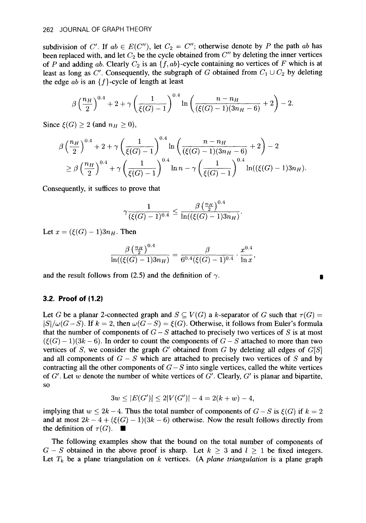subdivision of C'. If  $ab \in E(C'')$ , let  $C_2 = C''$ ; otherwise denote by P the path ab has been replaced with, and let  $C_2$  be the cycle obtained from  $C''$  by deleting the inner vertices of *P* and adding ab. Clearly *Cz* is an *{f,* ab}-cycle containing no vertices of *F* which is at least as long as  $C'$ . Consequently, the subgraph of *G* obtained from  $C_1 \cup C_2$  by deleting the edge ab is an  ${f}$ -cycle of length at least

$$
\beta \left(\frac{n_H}{2}\right)^{0.4} + 2 + \gamma \left(\frac{1}{\xi(G)-1}\right)^{0.4} \ln \left(\frac{n-n_H}{(\xi(G)-1)(3n_H-6)}+2\right)-2.
$$

Since  $\xi(G) \geq 2$  (and  $n_H \geq 0$ ),

$$
\beta \left(\frac{n_H}{2}\right)^{0.4} + 2 + \gamma \left(\frac{1}{\xi(G)-1}\right)^{0.4} \ln \left(\frac{n-n_H}{(\xi(G)-1)(3n_H-6)}+2\right) - 2
$$
  
\n
$$
\geq \beta \left(\frac{n_H}{2}\right)^{0.4} + \gamma \left(\frac{1}{\xi(G)-1}\right)^{0.4} \ln n - \gamma \left(\frac{1}{\xi(G)-1}\right)^{0.4} \ln((\xi(G)-1)3n_H).
$$

Consequently, it suffices to prove that

$$
\gamma \frac{1}{(\xi(G)-1)^{0.4}} \leq \frac{\beta \left( \frac{n_H}{2}\right)^{0.4}}{\ln ((\xi(G)-1) 3 n_H)}.
$$

Let  $x = (\xi(G) - 1)3n_H$ . Then

$$
\frac{\beta \left(\frac{n_H}{2}\right)^{0.4}}{\ln ((\xi(G)-1)3n_H)}=\frac{\beta}{6^{0.4}(\xi(G)-1)^{0.4}}\cdot \frac{x^{0.4}}{\ln x}.
$$

and the result follows from (2.5) and the definition of  $\gamma$ .

## **3.2. Proof of (1.2)**

Let *G* be a planar 2-connected graph and  $S \subseteq V(G)$  a k-separator of *G* such that  $\tau(G)$  =  $|S|/\omega(G-S)$ . If  $k = 2$ , then  $\omega(G-S) = \xi(G)$ . Otherwise, it follows from Euler's formula that the number of components of  $G-S$  attached to precisely two vertices of *S* is at most  $(\xi(G) - 1)(3k - 6)$ . In order to count the components of  $G - S$  attached to more than two vertices of *S*, we consider the graph  $G'$  obtained from G by deleting all edges of  $G[S]$ and all components of  $G - S$  which are attached to precisely two vertices of *S* and by contracting all the other components of  $G-S$  into single vertices, called the white vertices of *G'.* Let w denote the number of white vertices of G'. Clearly, *G'* is planar and bipartite, so

$$
3w \le |E(G')| \le 2|V(G')| - 4 = 2(k+w) - 4,
$$

implying that  $w \leq 2k - 4$ . Thus the total number of components of  $G - S$  is  $\xi(G)$  if  $k = 2$ and at most  $2k - 4 + (\xi(G) - 1)(3k - 6)$  otherwise. Now the result follows directly from the definition of  $\tau(G)$ .

The following examples show that the bound on the total number of components of  $G-S$  obtained in the above proof is sharp. Let  $k \geq 3$  and  $l \geq 1$  be fixed integers. Let  $T_k$  be a plane triangulation on  $k$  vertices. (A *plane triangulation* is a plane graph